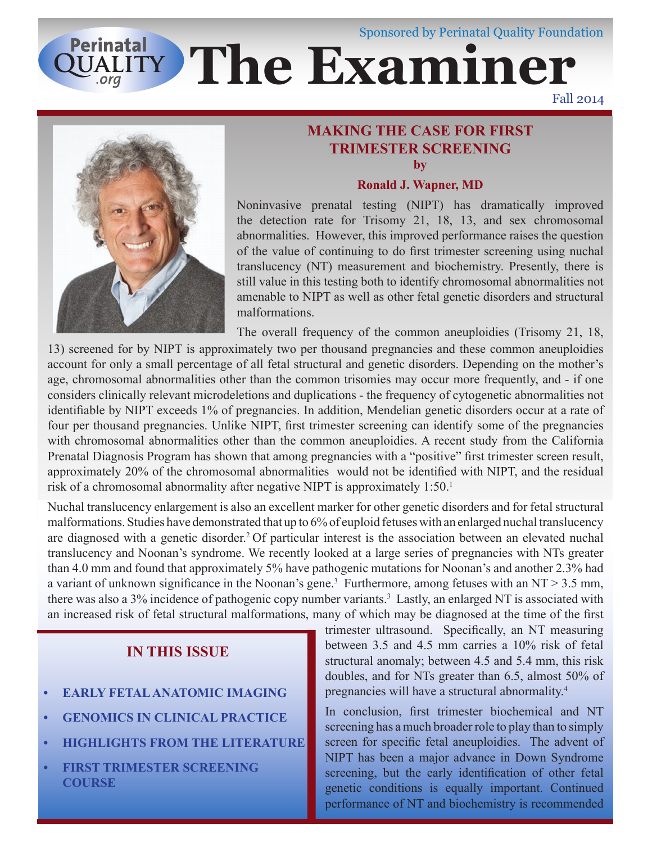# **QUALITY The Examiner** Sponsored by Perinatal Quality Foundation

Fall 2014



#### **MAKING THE CASE FOR FIRST TRIMESTER SCREENING by**

#### **Ronald J. Wapner, MD**

Noninvasive prenatal testing (NIPT) has dramatically improved the detection rate for Trisomy 21, 18, 13, and sex chromosomal abnormalities. However, this improved performance raises the question of the value of continuing to do first trimester screening using nuchal translucency (NT) measurement and biochemistry. Presently, there is still value in this testing both to identify chromosomal abnormalities not amenable to NIPT as well as other fetal genetic disorders and structural malformations.

13) screened for by NIPT is approximately two per thousand pregnancies and these common aneuploidies account for only a small percentage of all fetal structural and genetic disorders. Depending on the mother's age, chromosomal abnormalities other than the common trisomies may occur more frequently, and - if one considers clinically relevant microdeletions and duplications - the frequency of cytogenetic abnormalities not identifiable by NIPT exceeds 1% of pregnancies. In addition, Mendelian genetic disorders occur at a rate of four per thousand pregnancies. Unlike NIPT, first trimester screening can identify some of the pregnancies with chromosomal abnormalities other than the common aneuploidies. A recent study from the California Prenatal Diagnosis Program has shown that among pregnancies with a "positive" first trimester screen result, approximately 20% of the chromosomal abnormalities would not be identified with NIPT, and the residual risk of a chromosomal abnormality after negative NIPT is approximately 1:50.<sup>1</sup> The overall frequency of the common aneuploidies (Trisomy 21, 18,

Nuchal translucency enlargement is also an excellent marker for other genetic disorders and for fetal structural malformations. Studies have demonstrated that up to 6% of euploid fetuses with an enlarged nuchal translucency are diagnosed with a genetic disorder.<sup>2</sup> Of particular interest is the association between an elevated nuchal translucency and Noonan's syndrome. We recently looked at a large series of pregnancies with NTs greater than 4.0 mm and found that approximately 5% have pathogenic mutations for Noonan's and another 2.3% had a variant of unknown significance in the Noonan's gene.<sup>3</sup> Furthermore, among fetuses with an  $NT > 3.5$  mm, there was also a 3% incidence of pathogenic copy number variants.<sup>3</sup> Lastly, an enlarged NT is associated with an increased risk of fetal structural malformations, many of which may be diagnosed at the time of the first

# **IN THIS ISSUE**

- **EARLY FETAL ANATOMIC IMAGING**
- **GENOMICS IN CLINICAL PRACTICE**
- **HIGHLIGHTS FROM THE LITERATURE**
- **FIRST TRIMESTER SCREENING COURSE**

trimester ultrasound. Specifically, an NT measuring between 3.5 and 4.5 mm carries a 10% risk of fetal structural anomaly; between 4.5 and 5.4 mm, this risk doubles, and for NTs greater than 6.5, almost 50% of pregnancies will have a structural abnormality.4

In conclusion, first trimester biochemical and NT screening has a much broader role to play than to simply screen for specific fetal aneuploidies. The advent of NIPT has been a major advance in Down Syndrome screening, but the early identification of other fetal genetic conditions is equally important. Continued performance of NT and biochemistry is recommended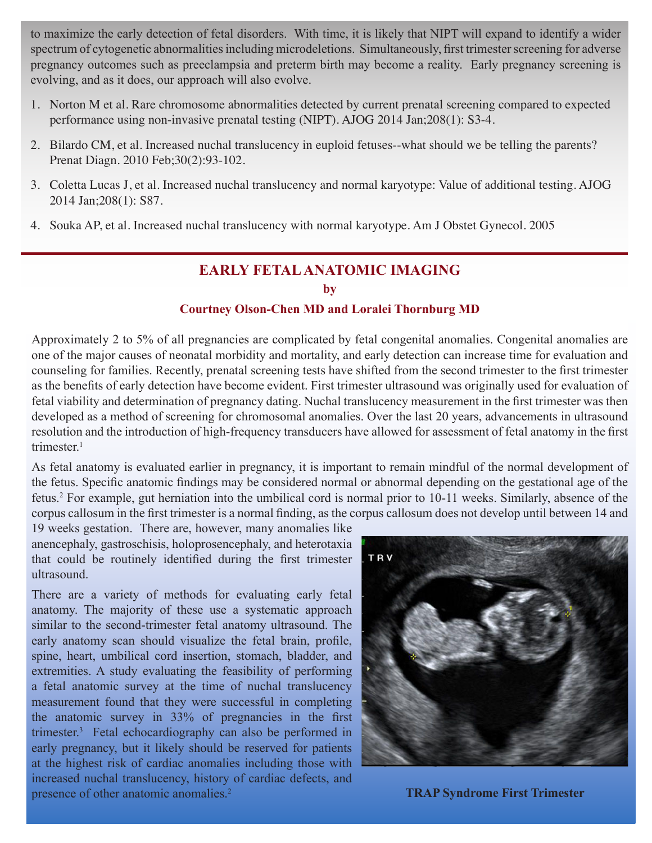to maximize the early detection of fetal disorders. With time, it is likely that NIPT will expand to identify a wider spectrum of cytogenetic abnormalities including microdeletions. Simultaneously, first trimester screening for adverse pregnancy outcomes such as preeclampsia and preterm birth may become a reality. Early pregnancy screening is evolving, and as it does, our approach will also evolve.

- 1. Norton M et al. Rare chromosome abnormalities detected by current prenatal screening compared to expected performance using non-invasive prenatal testing (NIPT). AJOG 2014 Jan;208(1): S3-4.
- 2. Bilardo CM, et al. Increased nuchal translucency in euploid fetuses--what should we be telling the parents? Prenat Diagn. 2010 Feb;30(2):93-102.
- 3. Coletta Lucas J, et al. Increased nuchal translucency and normal karyotype: Value of additional testing. AJOG 2014 Jan;208(1): S87.
- 4. Souka AP, et al. Increased nuchal translucency with normal karyotype. Am J Obstet Gynecol. 2005

### **EARLY FETAL ANATOMIC IMAGING**

#### **by**

#### **Courtney Olson-Chen MD and Loralei Thornburg MD**

Approximately 2 to 5% of all pregnancies are complicated by fetal congenital anomalies. Congenital anomalies are one of the major causes of neonatal morbidity and mortality, and early detection can increase time for evaluation and counseling for families. Recently, prenatal screening tests have shifted from the second trimester to the first trimester as the benefits of early detection have become evident. First trimester ultrasound was originally used for evaluation of fetal viability and determination of pregnancy dating. Nuchal translucency measurement in the first trimester was then developed as a method of screening for chromosomal anomalies. Over the last 20 years, advancements in ultrasound resolution and the introduction of high-frequency transducers have allowed for assessment of fetal anatomy in the first trimester $<sup>1</sup>$ </sup>

As fetal anatomy is evaluated earlier in pregnancy, it is important to remain mindful of the normal development of the fetus. Specific anatomic findings may be considered normal or abnormal depending on the gestational age of the fetus.2 For example, gut herniation into the umbilical cord is normal prior to 10-11 weeks. Similarly, absence of the corpus callosum in the first trimester is a normal finding, as the corpus callosum does not develop until between 14 and

19 weeks gestation. There are, however, many anomalies like anencephaly, gastroschisis, holoprosencephaly, and heterotaxia that could be routinely identified during the first trimester ultrasound.

There are a variety of methods for evaluating early fetal anatomy. The majority of these use a systematic approach similar to the second-trimester fetal anatomy ultrasound. The early anatomy scan should visualize the fetal brain, profile, spine, heart, umbilical cord insertion, stomach, bladder, and extremities. A study evaluating the feasibility of performing a fetal anatomic survey at the time of nuchal translucency measurement found that they were successful in completing the anatomic survey in 33% of pregnancies in the first trimester.3 Fetal echocardiography can also be performed in early pregnancy, but it likely should be reserved for patients at the highest risk of cardiac anomalies including those with increased nuchal translucency, history of cardiac defects, and presence of other anatomic anomalies.2



**TRAP Syndrome First Trimester**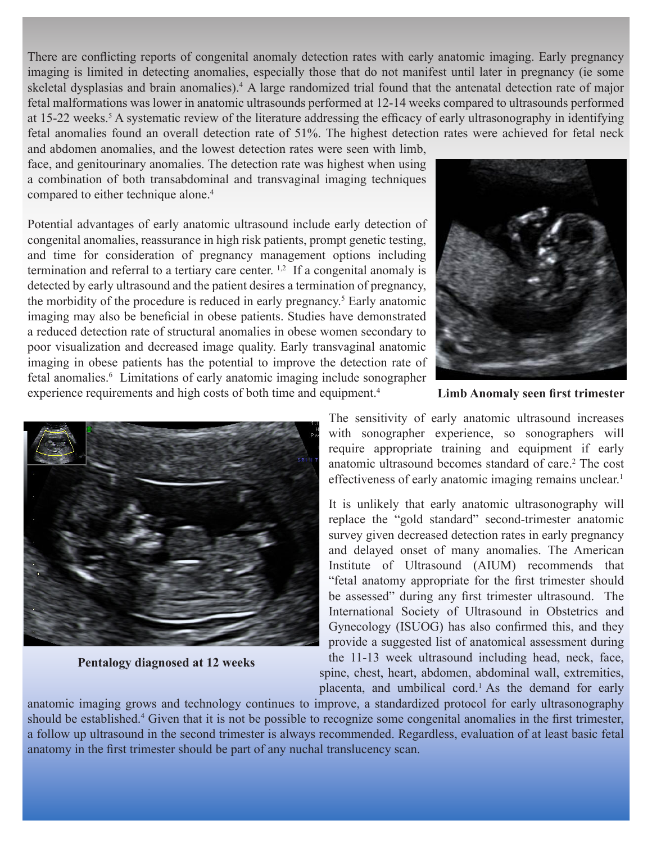There are conflicting reports of congenital anomaly detection rates with early anatomic imaging. Early pregnancy imaging is limited in detecting anomalies, especially those that do not manifest until later in pregnancy (ie some skeletal dysplasias and brain anomalies).<sup>4</sup> A large randomized trial found that the antenatal detection rate of major fetal malformations was lower in anatomic ultrasounds performed at 12-14 weeks compared to ultrasounds performed at 15-22 weeks.<sup>5</sup> A systematic review of the literature addressing the efficacy of early ultrasonography in identifying fetal anomalies found an overall detection rate of 51%. The highest detection rates were achieved for fetal neck

and abdomen anomalies, and the lowest detection rates were seen with limb, face, and genitourinary anomalies. The detection rate was highest when using a combination of both transabdominal and transvaginal imaging techniques compared to either technique alone.<sup>4</sup>

Potential advantages of early anatomic ultrasound include early detection of congenital anomalies, reassurance in high risk patients, prompt genetic testing, and time for consideration of pregnancy management options including termination and referral to a tertiary care center.  $1,2$  If a congenital anomaly is detected by early ultrasound and the patient desires a termination of pregnancy, the morbidity of the procedure is reduced in early pregnancy.<sup>5</sup> Early anatomic imaging may also be beneficial in obese patients. Studies have demonstrated a reduced detection rate of structural anomalies in obese women secondary to poor visualization and decreased image quality. Early transvaginal anatomic imaging in obese patients has the potential to improve the detection rate of fetal anomalies.<sup>6</sup> Limitations of early anatomic imaging include sonographer experience requirements and high costs of both time and equipment.<sup>4</sup>



**Limb Anomaly seen first trimester**



**Pentalogy diagnosed at 12 weeks**

The sensitivity of early anatomic ultrasound increases with sonographer experience, so sonographers will require appropriate training and equipment if early anatomic ultrasound becomes standard of care.<sup>2</sup> The cost effectiveness of early anatomic imaging remains unclear.<sup>1</sup>

It is unlikely that early anatomic ultrasonography will replace the "gold standard" second-trimester anatomic survey given decreased detection rates in early pregnancy and delayed onset of many anomalies. The American Institute of Ultrasound (AIUM) recommends that "fetal anatomy appropriate for the first trimester should be assessed" during any first trimester ultrasound. The International Society of Ultrasound in Obstetrics and Gynecology (ISUOG) has also confirmed this, and they provide a suggested list of anatomical assessment during the 11-13 week ultrasound including head, neck, face, spine, chest, heart, abdomen, abdominal wall, extremities, placenta, and umbilical cord.<sup>1</sup> As the demand for early

anatomic imaging grows and technology continues to improve, a standardized protocol for early ultrasonography should be established.<sup>4</sup> Given that it is not be possible to recognize some congenital anomalies in the first trimester, a follow up ultrasound in the second trimester is always recommended. Regardless, evaluation of at least basic fetal anatomy in the first trimester should be part of any nuchal translucency scan.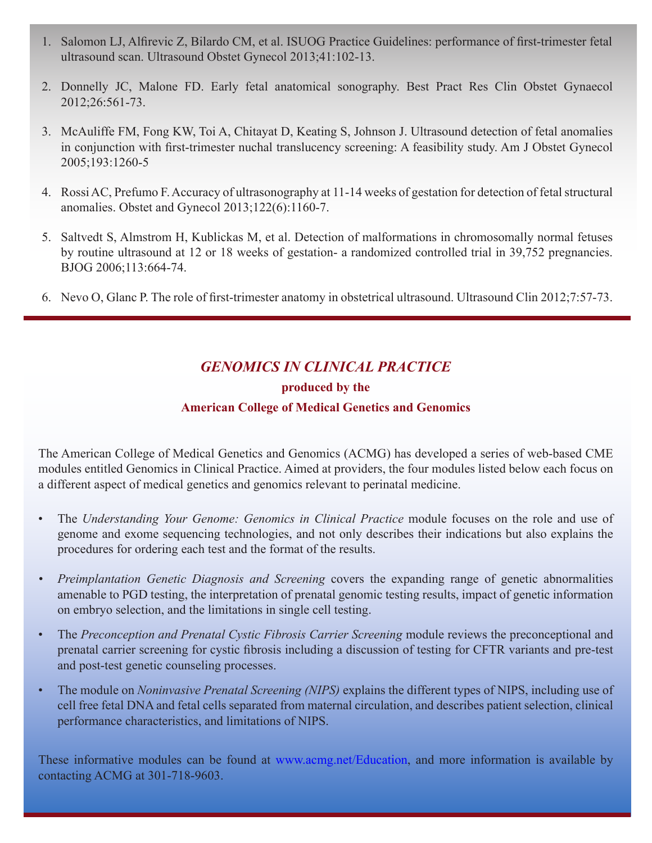- 1. Salomon LJ, Alfirevic Z, Bilardo CM, et al. ISUOG Practice Guidelines: performance of first-trimester fetal ultrasound scan. Ultrasound Obstet Gynecol 2013;41:102-13.
- 2. Donnelly JC, Malone FD. Early fetal anatomical sonography. Best Pract Res Clin Obstet Gynaecol 2012;26:561-73.
- 3. McAuliffe FM, Fong KW, Toi A, Chitayat D, Keating S, Johnson J. Ultrasound detection of fetal anomalies in conjunction with first-trimester nuchal translucency screening: A feasibility study. Am J Obstet Gynecol 2005;193:1260-5
- 4. Rossi AC, Prefumo F. Accuracy of ultrasonography at 11-14 weeks of gestation for detection of fetal structural anomalies. Obstet and Gynecol 2013;122(6):1160-7.
- 5. Saltvedt S, Almstrom H, Kublickas M, et al. Detection of malformations in chromosomally normal fetuses by routine ultrasound at 12 or 18 weeks of gestation- a randomized controlled trial in 39,752 pregnancies. BJOG 2006;113:664-74.
- 6. Nevo O, Glanc P. The role of first-trimester anatomy in obstetrical ultrasound. Ultrasound Clin 2012;7:57-73.

## *GENOMICS IN CLINICAL PRACTICE*

#### **produced by the**

#### **American College of Medical Genetics and Genomics**

The American College of Medical Genetics and Genomics (ACMG) has developed a series of web-based CME modules entitled Genomics in Clinical Practice. Aimed at providers, the four modules listed below each focus on a different aspect of medical genetics and genomics relevant to perinatal medicine.

- The *Understanding Your Genome: Genomics in Clinical Practice* module focuses on the role and use of genome and exome sequencing technologies, and not only describes their indications but also explains the procedures for ordering each test and the format of the results.
- *• Preimplantation Genetic Diagnosis and Screening* covers the expanding range of genetic abnormalities amenable to PGD testing, the interpretation of prenatal genomic testing results, impact of genetic information on embryo selection, and the limitations in single cell testing.
- The *Preconception and Prenatal Cystic Fibrosis Carrier Screening* module reviews the preconceptional and prenatal carrier screening for cystic fibrosis including a discussion of testing for CFTR variants and pre-test and post-test genetic counseling processes.
- The module on *Noninvasive Prenatal Screening (NIPS)* explains the different types of NIPS, including use of cell free fetal DNA and fetal cells separated from maternal circulation, and describes patient selection, clinical performance characteristics, and limitations of NIPS.

These informative modules can be found at www.acmg.net/Education, and more information is available by contacting ACMG at 301-718-9603.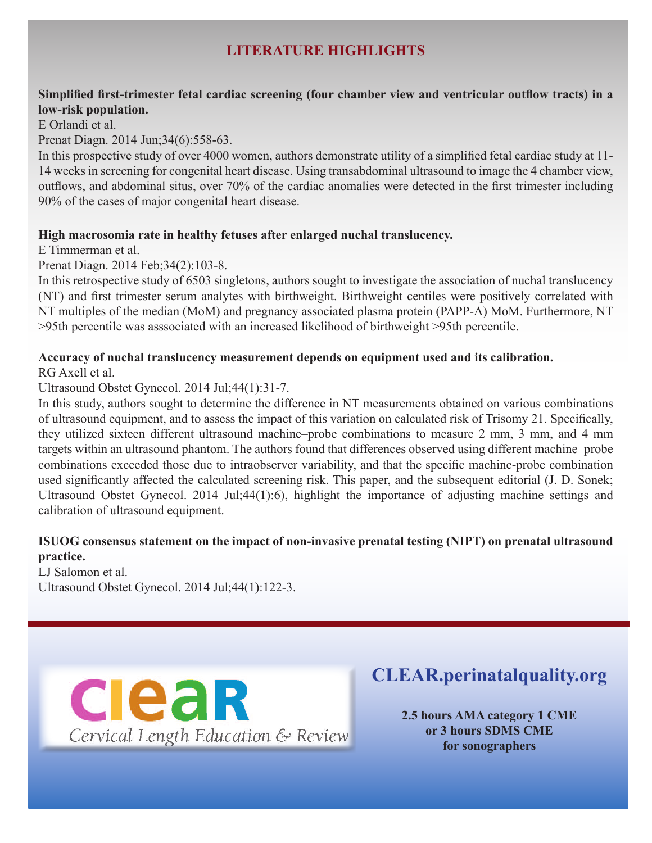# **LITERATURE HIGHLIGHTS**

#### **Simplified first-trimester fetal cardiac screening (four chamber view and ventricular outflow tracts) in a low-risk population.**

E Orlandi et al.

Prenat Diagn. 2014 Jun;34(6):558-63.

In this prospective study of over 4000 women, authors demonstrate utility of a simplified fetal cardiac study at 11- 14 weeks in screening for congenital heart disease. Using transabdominal ultrasound to image the 4 chamber view, outflows, and abdominal situs, over 70% of the cardiac anomalies were detected in the first trimester including 90% of the cases of major congenital heart disease.

#### **High macrosomia rate in healthy fetuses after enlarged nuchal translucency.**

E Timmerman et al.

Prenat Diagn. 2014 Feb;34(2):103-8.

In this retrospective study of 6503 singletons, authors sought to investigate the association of nuchal translucency (NT) and first trimester serum analytes with birthweight. Birthweight centiles were positively correlated with NT multiples of the median (MoM) and pregnancy associated plasma protein (PAPP-A) MoM. Furthermore, NT >95th percentile was asssociated with an increased likelihood of birthweight >95th percentile.

#### **Accuracy of nuchal translucency measurement depends on equipment used and its calibration.**

RG Axell et al.

#### Ultrasound Obstet Gynecol. 2014 Jul;44(1):31-7.

In this study, authors sought to determine the difference in NT measurements obtained on various combinations of ultrasound equipment, and to assess the impact of this variation on calculated risk of Trisomy 21. Specifically, they utilized sixteen different ultrasound machine–probe combinations to measure 2 mm, 3 mm, and 4 mm targets within an ultrasound phantom. The authors found that differences observed using different machine–probe combinations exceeded those due to intraobserver variability, and that the specific machine-probe combination used significantly affected the calculated screening risk. This paper, and the subsequent editorial (J. D. Sonek; Ultrasound Obstet Gynecol. 2014 Jul;44(1):6), highlight the importance of adjusting machine settings and calibration of ultrasound equipment.

#### **ISUOG consensus statement on the impact of non-invasive prenatal testing (NIPT) on prenatal ultrasound practice.**

LJ Salomon et al. Ultrasound Obstet Gynecol. 2014 Jul;44(1):122-3.



# **CLEAR.perinatalquality.org**

**2.5 hours AMA category 1 CME or 3 hours SDMS CME for sonographers**